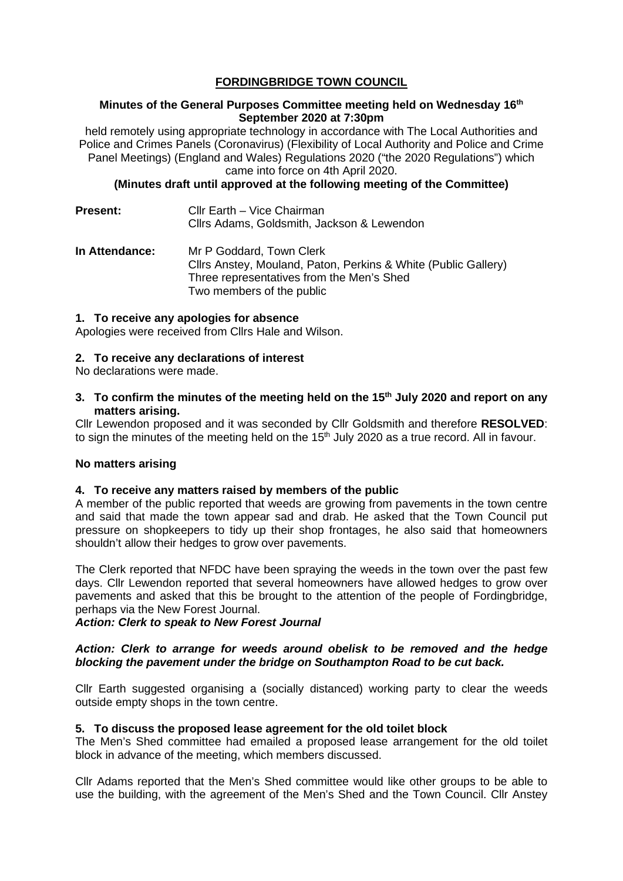# **FORDINGBRIDGE TOWN COUNCIL**

# **Minutes of the General Purposes Committee meeting held on Wednesday 16th September 2020 at 7:30pm**

held remotely using appropriate technology in accordance with The Local Authorities and Police and Crimes Panels (Coronavirus) (Flexibility of Local Authority and Police and Crime Panel Meetings) (England and Wales) Regulations 2020 ("the 2020 Regulations") which came into force on 4th April 2020.

# **(Minutes draft until approved at the following meeting of the Committee)**

| <b>Present:</b> | Cllr Earth – Vice Chairman<br>Cllrs Adams, Goldsmith, Jackson & Lewendon                                                                                             |
|-----------------|----------------------------------------------------------------------------------------------------------------------------------------------------------------------|
| In Attendance:  | Mr P Goddard, Town Clerk<br>Cllrs Anstey, Mouland, Paton, Perkins & White (Public Gallery)<br>Three representatives from the Men's Shed<br>Two members of the public |

### **1. To receive any apologies for absence**

Apologies were received from Cllrs Hale and Wilson.

# **2. To receive any declarations of interest**

No declarations were made.

# **3. To confirm the minutes of the meeting held on the 15th July 2020 and report on any matters arising.**

Cllr Lewendon proposed and it was seconded by Cllr Goldsmith and therefore **RESOLVED**: to sign the minutes of the meeting held on the  $15<sup>th</sup>$  July 2020 as a true record. All in favour.

# **No matters arising**

### **4. To receive any matters raised by members of the public**

A member of the public reported that weeds are growing from pavements in the town centre and said that made the town appear sad and drab. He asked that the Town Council put pressure on shopkeepers to tidy up their shop frontages, he also said that homeowners shouldn't allow their hedges to grow over pavements.

The Clerk reported that NFDC have been spraying the weeds in the town over the past few days. Cllr Lewendon reported that several homeowners have allowed hedges to grow over pavements and asked that this be brought to the attention of the people of Fordingbridge, perhaps via the New Forest Journal.

*Action: Clerk to speak to New Forest Journal* 

# *Action: Clerk to arrange for weeds around obelisk to be removed and the hedge blocking the pavement under the bridge on Southampton Road to be cut back.*

Cllr Earth suggested organising a (socially distanced) working party to clear the weeds outside empty shops in the town centre.

### **5. To discuss the proposed lease agreement for the old toilet block**

The Men's Shed committee had emailed a proposed lease arrangement for the old toilet block in advance of the meeting, which members discussed.

Cllr Adams reported that the Men's Shed committee would like other groups to be able to use the building, with the agreement of the Men's Shed and the Town Council. Cllr Anstey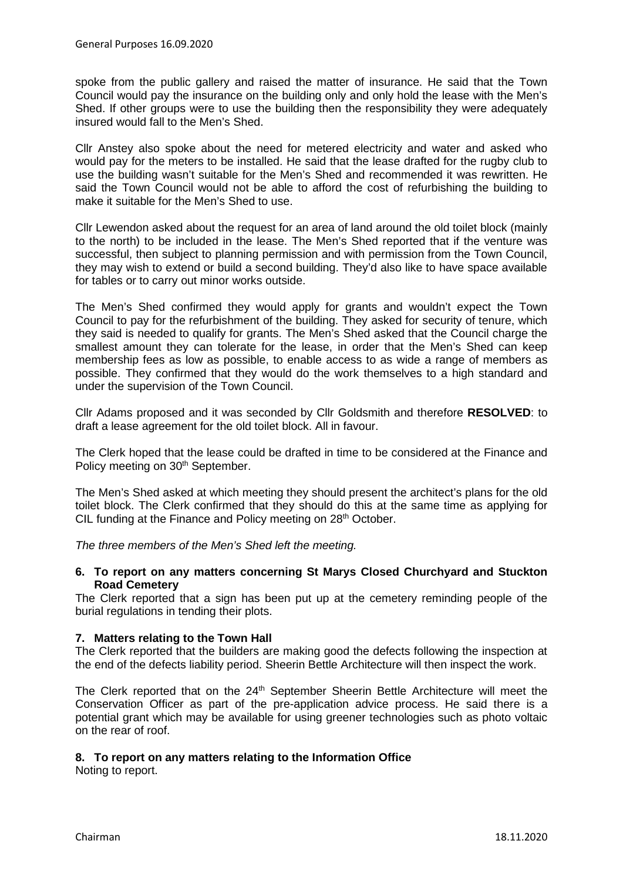spoke from the public gallery and raised the matter of insurance. He said that the Town Council would pay the insurance on the building only and only hold the lease with the Men's Shed. If other groups were to use the building then the responsibility they were adequately insured would fall to the Men's Shed.

Cllr Anstey also spoke about the need for metered electricity and water and asked who would pay for the meters to be installed. He said that the lease drafted for the rugby club to use the building wasn't suitable for the Men's Shed and recommended it was rewritten. He said the Town Council would not be able to afford the cost of refurbishing the building to make it suitable for the Men's Shed to use.

Cllr Lewendon asked about the request for an area of land around the old toilet block (mainly to the north) to be included in the lease. The Men's Shed reported that if the venture was successful, then subject to planning permission and with permission from the Town Council, they may wish to extend or build a second building. They'd also like to have space available for tables or to carry out minor works outside.

The Men's Shed confirmed they would apply for grants and wouldn't expect the Town Council to pay for the refurbishment of the building. They asked for security of tenure, which they said is needed to qualify for grants. The Men's Shed asked that the Council charge the smallest amount they can tolerate for the lease, in order that the Men's Shed can keep membership fees as low as possible, to enable access to as wide a range of members as possible. They confirmed that they would do the work themselves to a high standard and under the supervision of the Town Council.

Cllr Adams proposed and it was seconded by Cllr Goldsmith and therefore **RESOLVED**: to draft a lease agreement for the old toilet block. All in favour.

The Clerk hoped that the lease could be drafted in time to be considered at the Finance and Policy meeting on 30<sup>th</sup> September.

The Men's Shed asked at which meeting they should present the architect's plans for the old toilet block. The Clerk confirmed that they should do this at the same time as applying for CIL funding at the Finance and Policy meeting on 28<sup>th</sup> October.

*The three members of the Men's Shed left the meeting.*

# **6. To report on any matters concerning St Marys Closed Churchyard and Stuckton Road Cemetery**

The Clerk reported that a sign has been put up at the cemetery reminding people of the burial regulations in tending their plots.

### **7. Matters relating to the Town Hall**

The Clerk reported that the builders are making good the defects following the inspection at the end of the defects liability period. Sheerin Bettle Architecture will then inspect the work.

The Clerk reported that on the 24<sup>th</sup> September Sheerin Bettle Architecture will meet the Conservation Officer as part of the pre-application advice process. He said there is a potential grant which may be available for using greener technologies such as photo voltaic on the rear of roof.

# **8. To report on any matters relating to the Information Office**

Noting to report.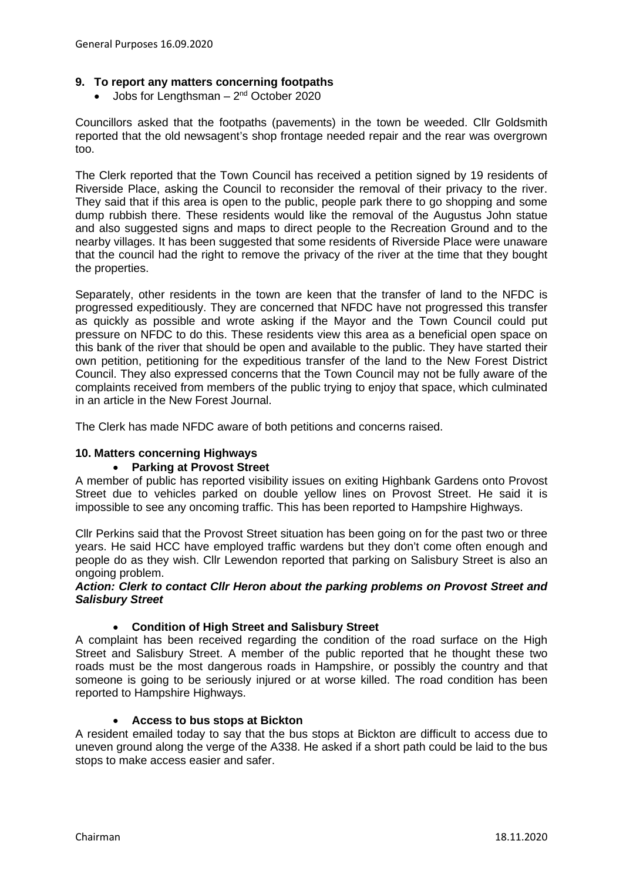# **9. To report any matters concerning footpaths**

• Jobs for Lengthsman  $-2^{nd}$  October 2020

Councillors asked that the footpaths (pavements) in the town be weeded. Cllr Goldsmith reported that the old newsagent's shop frontage needed repair and the rear was overgrown too.

The Clerk reported that the Town Council has received a petition signed by 19 residents of Riverside Place, asking the Council to reconsider the removal of their privacy to the river. They said that if this area is open to the public, people park there to go shopping and some dump rubbish there. These residents would like the removal of the Augustus John statue and also suggested signs and maps to direct people to the Recreation Ground and to the nearby villages. It has been suggested that some residents of Riverside Place were unaware that the council had the right to remove the privacy of the river at the time that they bought the properties.

Separately, other residents in the town are keen that the transfer of land to the NFDC is progressed expeditiously. They are concerned that NFDC have not progressed this transfer as quickly as possible and wrote asking if the Mayor and the Town Council could put pressure on NFDC to do this. These residents view this area as a beneficial open space on this bank of the river that should be open and available to the public. They have started their own petition, petitioning for the expeditious transfer of the land to the New Forest District Council. They also expressed concerns that the Town Council may not be fully aware of the complaints received from members of the public trying to enjoy that space, which culminated in an article in the New Forest Journal.

The Clerk has made NFDC aware of both petitions and concerns raised.

# **10. Matters concerning Highways**

### • **Parking at Provost Street**

A member of public has reported visibility issues on exiting Highbank Gardens onto Provost Street due to vehicles parked on double yellow lines on Provost Street. He said it is impossible to see any oncoming traffic. This has been reported to Hampshire Highways.

Cllr Perkins said that the Provost Street situation has been going on for the past two or three years. He said HCC have employed traffic wardens but they don't come often enough and people do as they wish. Cllr Lewendon reported that parking on Salisbury Street is also an ongoing problem.

### *Action: Clerk to contact Cllr Heron about the parking problems on Provost Street and Salisbury Street*

### • **Condition of High Street and Salisbury Street**

A complaint has been received regarding the condition of the road surface on the High Street and Salisbury Street. A member of the public reported that he thought these two roads must be the most dangerous roads in Hampshire, or possibly the country and that someone is going to be seriously injured or at worse killed. The road condition has been reported to Hampshire Highways.

### • **Access to bus stops at Bickton**

A resident emailed today to say that the bus stops at Bickton are difficult to access due to uneven ground along the verge of the A338. He asked if a short path could be laid to the bus stops to make access easier and safer.